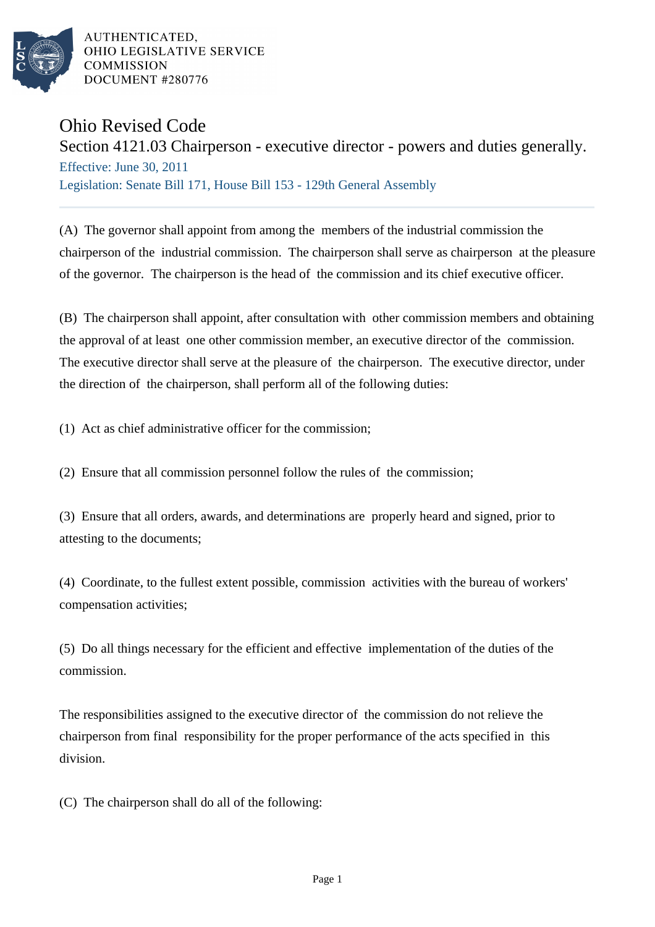

AUTHENTICATED. OHIO LEGISLATIVE SERVICE **COMMISSION** DOCUMENT #280776

## Ohio Revised Code

Section 4121.03 Chairperson - executive director - powers and duties generally. Effective: June 30, 2011 Legislation: Senate Bill 171, House Bill 153 - 129th General Assembly

(A) The governor shall appoint from among the members of the industrial commission the chairperson of the industrial commission. The chairperson shall serve as chairperson at the pleasure of the governor. The chairperson is the head of the commission and its chief executive officer.

(B) The chairperson shall appoint, after consultation with other commission members and obtaining the approval of at least one other commission member, an executive director of the commission. The executive director shall serve at the pleasure of the chairperson. The executive director, under the direction of the chairperson, shall perform all of the following duties:

(1) Act as chief administrative officer for the commission;

(2) Ensure that all commission personnel follow the rules of the commission;

(3) Ensure that all orders, awards, and determinations are properly heard and signed, prior to attesting to the documents;

(4) Coordinate, to the fullest extent possible, commission activities with the bureau of workers' compensation activities;

(5) Do all things necessary for the efficient and effective implementation of the duties of the commission.

The responsibilities assigned to the executive director of the commission do not relieve the chairperson from final responsibility for the proper performance of the acts specified in this division.

(C) The chairperson shall do all of the following: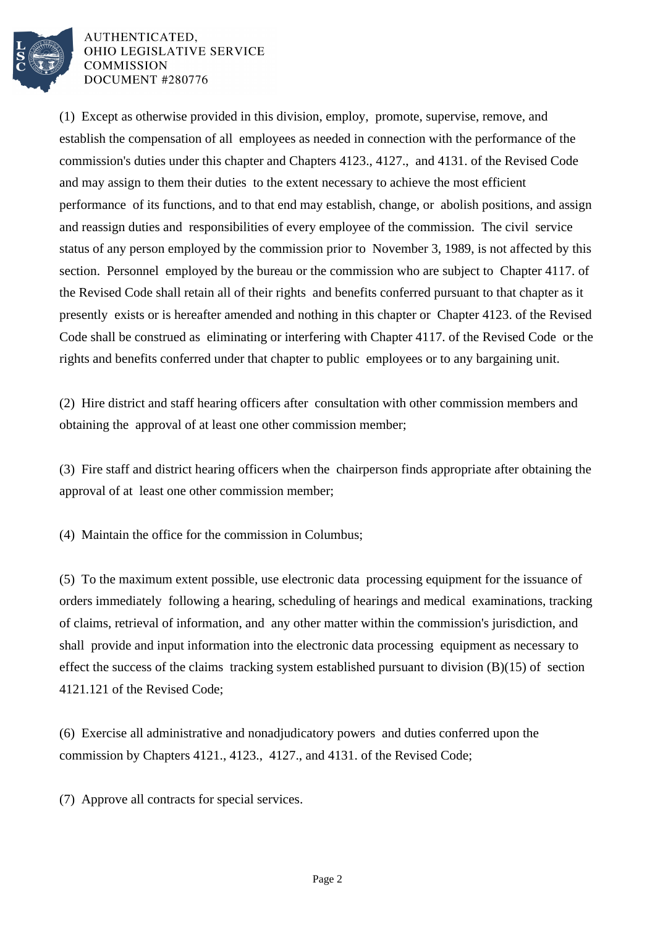

AUTHENTICATED. OHIO LEGISLATIVE SERVICE **COMMISSION** DOCUMENT #280776

(1) Except as otherwise provided in this division, employ, promote, supervise, remove, and establish the compensation of all employees as needed in connection with the performance of the commission's duties under this chapter and Chapters 4123., 4127., and 4131. of the Revised Code and may assign to them their duties to the extent necessary to achieve the most efficient performance of its functions, and to that end may establish, change, or abolish positions, and assign and reassign duties and responsibilities of every employee of the commission. The civil service status of any person employed by the commission prior to November 3, 1989, is not affected by this section. Personnel employed by the bureau or the commission who are subject to Chapter 4117. of the Revised Code shall retain all of their rights and benefits conferred pursuant to that chapter as it presently exists or is hereafter amended and nothing in this chapter or Chapter 4123. of the Revised Code shall be construed as eliminating or interfering with Chapter 4117. of the Revised Code or the rights and benefits conferred under that chapter to public employees or to any bargaining unit.

(2) Hire district and staff hearing officers after consultation with other commission members and obtaining the approval of at least one other commission member;

(3) Fire staff and district hearing officers when the chairperson finds appropriate after obtaining the approval of at least one other commission member;

(4) Maintain the office for the commission in Columbus;

(5) To the maximum extent possible, use electronic data processing equipment for the issuance of orders immediately following a hearing, scheduling of hearings and medical examinations, tracking of claims, retrieval of information, and any other matter within the commission's jurisdiction, and shall provide and input information into the electronic data processing equipment as necessary to effect the success of the claims tracking system established pursuant to division (B)(15) of section 4121.121 of the Revised Code;

(6) Exercise all administrative and nonadjudicatory powers and duties conferred upon the commission by Chapters 4121., 4123., 4127., and 4131. of the Revised Code;

(7) Approve all contracts for special services.